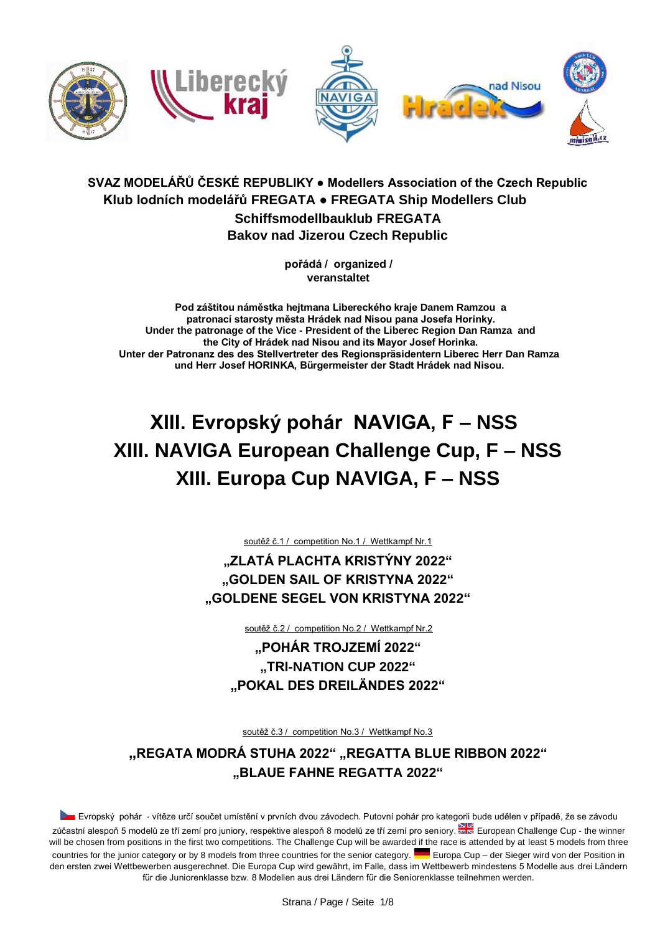

## **SVAZ MODELÁŘŮ ČESKÉ REPUBLIKY ● Modellers Association of the Czech Republic Klub lodních modelářů FREGATA ● FREGATA Ship Modellers Club Schiffsmodellbauklub FREGATA**

**Bakov nad Jizerou Czech Republic** 

**pořádá / organized / veranstaltet** 

**Pod záštitou náměstka hejtmana Libereckého kraje Danem Ramzou a patronací starosty města Hrádek nad Nisou pana Josefa Horinky. Under the patronage of the Vice - President of the Liberec Region Dan Ramza and the City of Hrádek nad Nisou and its Mayor Josef Horinka. Unter der Patronanz des des Stellvertreter des Regionspräsidentern Liberec Herr Dan Ramza und Herr Josef HORINKA, Bürgermeister der Stadt Hrádek nad Nisou.** 

# **XIII. Evropský pohár NAVIGA, F – NSS XIII. NAVIGA European Challenge Cup, F – NSS XIII. Europa Cup NAVIGA, F – NSS**

soutěž č.1 / competition No.1 / Wettkampf Nr.1

**"ZLATÁ PLACHTA KRISTÝNY 2022" "GOLDEN SAIL OF KRISTYNA 2022" "GOLDENE SEGEL VON KRISTYNA 2022"** 

soutěž č.2 / competition No.2 / Wettkampf Nr.2

**"POHÁR TROJZEMÍ 2022" "TRI-NATION CUP 2022" "POKAL DES DREILÄNDES 2022"** 

soutěž č.3 / competition No.3 / Wettkampf No.3

**"REGATA MODRÁ STUHA 2022" "REGATTA BLUE RIBBON 2022" "BLAUE FAHNE REGATTA 2022"** 

Evropský pohár - vítěze určí součet umístění v prvních dvou závodech. Putovní pohár pro kategorii bude udělen v případě, že se závodu zúčastní alespoň 5 modelů ze tří zemí pro juniory, respektive alespoň 8 modelů ze tří zemí pro seniory. Zkolenopean Challenge Cup - the winner will be chosen from positions in the first two competitions. The Challenge Cup will be awarded if the race is attended by at least 5 models from three countries for the junior category or by 8 models from three countries for the senior category. Europa Cup – der Sieger wird von der Position in den ersten zwei Wettbewerben ausgerechnet. Die Europa Cup wird gewährt, im Falle, dass im Wettbewerb mindestens 5 Modelle aus drei Ländern für die Juniorenklasse bzw. 8 Modellen aus drei Ländern für die Seniorenklasse teilnehmen werden.

Strana / Page / Seite 1/8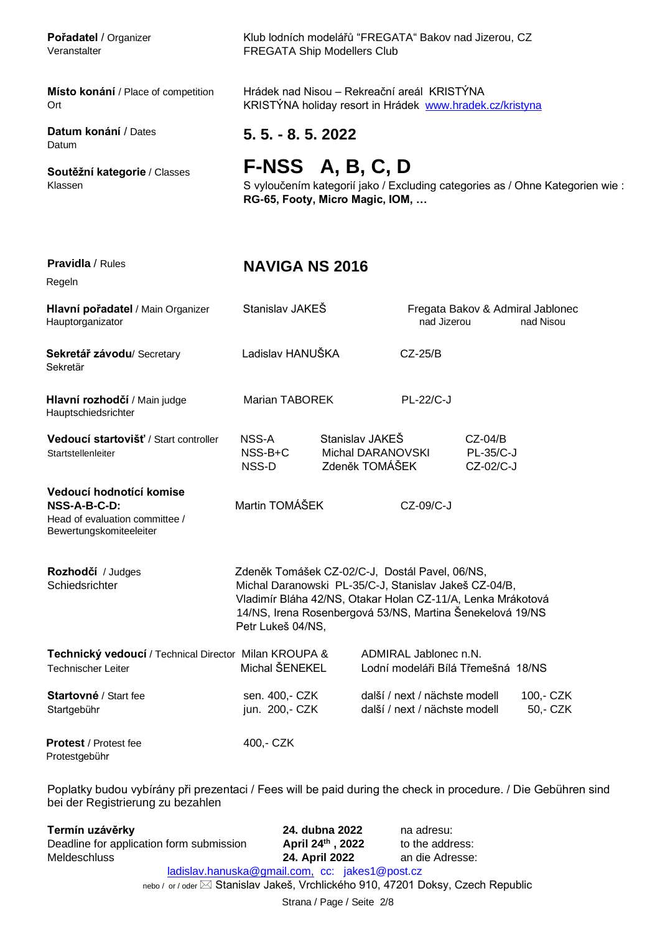**Datum konání** / Dates Datum

Pořadatel / Organizer Klub lodních modelářů "FREGATA" Bakov nad Jizerou, CZ Veranstalter FREGATA Ship Modellers Club

**Místo konání** / Place of competition Hrádek nad Nisou – Rekreační areál KRISTÝNA Ort Chromogram KRISTÝNA holiday resort in Hrádek www.hradek.cz/kristyna

**5. 5. - 8. 5. 2022**

# **Soutěžní kategorie** / Classes **F-NSS A, B, C, D**

Klassen S vyloučením kategorií jako / Excluding categories as / Ohne Kategorien wie : **RG-65, Footy, Micro Magic, IOM, …** 

# **Pravidla** / Rules **NAVIGA NS 2016**

Regeln

| Hlavní pořadatel / Main Organizer<br>Hauptorganizator                                                    | Stanislav JAKEŠ                                                                                                                                                                                                                                          |                                                        |                                                                | Fregata Bakov & Admiral Jablonec<br>nad Jizerou<br>nad Nisou |                       |
|----------------------------------------------------------------------------------------------------------|----------------------------------------------------------------------------------------------------------------------------------------------------------------------------------------------------------------------------------------------------------|--------------------------------------------------------|----------------------------------------------------------------|--------------------------------------------------------------|-----------------------|
| Sekretář závodu/Secretary<br>Sekretär                                                                    | Ladislav HANUŠKA                                                                                                                                                                                                                                         |                                                        | $CZ-25/B$                                                      |                                                              |                       |
| Hlavní rozhodčí / Main judge<br>Hauptschiedsrichter                                                      | <b>Marian TABOREK</b>                                                                                                                                                                                                                                    |                                                        | <b>PL-22/C-J</b>                                               |                                                              |                       |
| Vedoucí startovišť / Start controller<br>Startstellenleiter                                              | NSS-A<br>NSS-B+C<br>NSS-D                                                                                                                                                                                                                                | Stanislav JAKEŠ<br>Michal DARANOVSKI<br>Zdeněk TOMÁŠEK |                                                                | $CZ-04/B$<br>PL-35/C-J<br>CZ-02/C-J                          |                       |
| Vedoucí hodnotící komise<br>$NSS-A-B-C-D$ :<br>Head of evaluation committee /<br>Bewertungskomiteeleiter | Martin TOMÁŠEK                                                                                                                                                                                                                                           |                                                        | CZ-09/C-J                                                      |                                                              |                       |
| Rozhodčí / Judges<br>Schiedsrichter                                                                      | Zdeněk Tomášek CZ-02/C-J, Dostál Pavel, 06/NS,<br>Michal Daranowski PL-35/C-J, Stanislav Jakeš CZ-04/B,<br>Vladimír Bláha 42/NS, Otakar Holan CZ-11/A, Lenka Mrákotová<br>14/NS, Irena Rosenbergová 53/NS, Martina Šenekelová 19/NS<br>Petr Lukeš 04/NS, |                                                        |                                                                |                                                              |                       |
| Technický vedoucí / Technical Director Milan KROUPA &<br><b>Technischer Leiter</b>                       | Michal ŠENEKEL                                                                                                                                                                                                                                           |                                                        | ADMIRAL Jablonec n.N.<br>Lodní modeláři Bílá Třemešná 18/NS    |                                                              |                       |
| Startovné / Start fee<br>Startgebühr                                                                     | sen. 400,- CZK<br>jun. 200,- CZK                                                                                                                                                                                                                         |                                                        | další / next / nächste modell<br>další / next / nächste modell |                                                              | 100,- CZK<br>50,- CZK |
| <b>Protest</b> / Protest fee<br>Protestgebühr                                                            | 400,- CZK                                                                                                                                                                                                                                                |                                                        |                                                                |                                                              |                       |

Poplatky budou vybírány při prezentaci / Fees will be paid during the check in procedure. / Die Gebühren sind bei der Registrierung zu bezahlen

Strana / Page / Seite 2/8 **Termín uzávěrky**<br> **24. dubna 2022** na adresu:<br>
Deadline for application form submission **April 24th, 2022** to the addr Deadline for application form submission to the address: Meldeschluss **24. April 2022** an die Adresse: ladislav.hanuska@gmail.com, cc: jakes1@post.cz nebo / or / oder  $\boxtimes$  Stanislav Jakeš, Vrchlického 910, 47201 Doksy, Czech Republic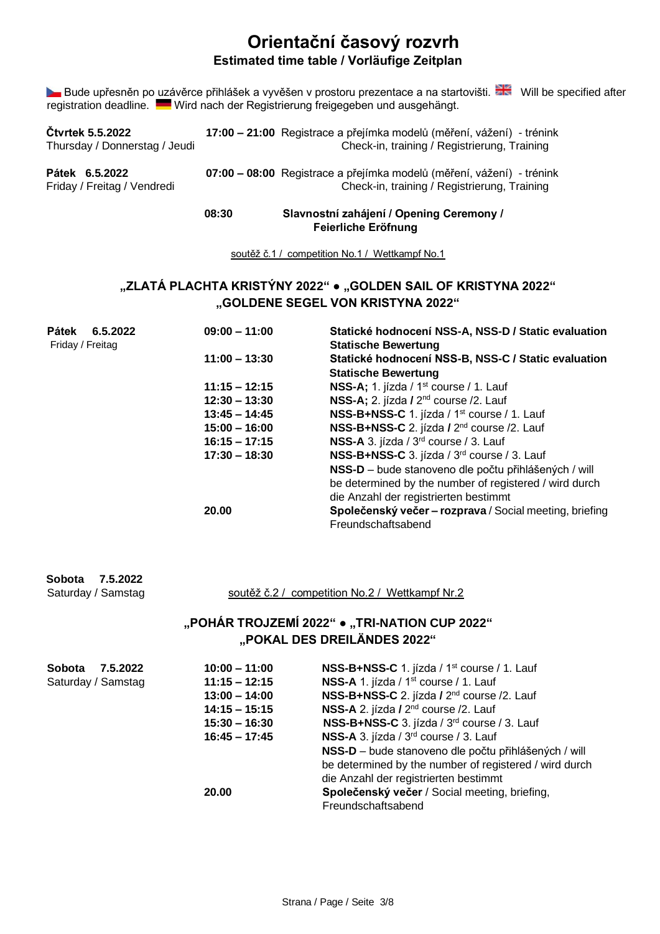## **Orientační časový rozvrh Estimated time table / Vorläufige Zeitplan**

Bude upřesněn po uzávěrce přihlášek a vyvěšen v prostoru prezentace a na startovišti. ZN Will be specified after registration deadline. Wird nach der Registrierung freigegeben und ausgehängt.

|                                                          | 08:30 | Slavnostní zahájení / Opening Ceremony /                                                                              |  |  |
|----------------------------------------------------------|-------|-----------------------------------------------------------------------------------------------------------------------|--|--|
| Pátek 6.5.2022<br>Friday / Freitag / Vendredi            |       | 07:00 - 08:00 Registrace a přejímka modelů (měření, vážení) - trénink<br>Check-in, training / Registrierung, Training |  |  |
| <b>Ctvrtek 5.5.2022</b><br>Thursday / Donnerstag / Jeudi |       | 17:00 – 21:00 Registrace a přejímka modelů (měření, vážení) - trénink<br>Check-in, training / Registrierung, Training |  |  |

**Feierliche Eröfnung** 

soutěž č.1 / competition No.1 / Wettkampf No.1

## **"ZLATÁ PLACHTA KRISTÝNY 2022" ● "GOLDEN SAIL OF KRISTYNA 2022" "GOLDENE SEGEL VON KRISTYNA 2022"**

| Pátek<br>6.5.2022<br>Friday / Freitag | $09:00 - 11:00$ | Statické hodnocení NSS-A, NSS-D / Static evaluation<br><b>Statische Bewertung</b> |  |  |  |  |
|---------------------------------------|-----------------|-----------------------------------------------------------------------------------|--|--|--|--|
|                                       | $11:00 - 13:30$ | Statické hodnocení NSS-B, NSS-C / Static evaluation                               |  |  |  |  |
|                                       |                 | <b>Statische Bewertung</b>                                                        |  |  |  |  |
|                                       | $11:15 - 12:15$ | NSS-A; 1. jízda / 1 <sup>st</sup> course / 1. Lauf                                |  |  |  |  |
|                                       | $12:30 - 13:30$ | NSS-A; 2. jízda / 2 <sup>nd</sup> course /2. Lauf                                 |  |  |  |  |
|                                       | $13:45 - 14:45$ | NSS-B+NSS-C 1. jízda / 1 <sup>st</sup> course / 1. Lauf                           |  |  |  |  |
|                                       | $15:00 - 16:00$ | NSS-B+NSS-C 2. jízda / 2 <sup>nd</sup> course /2. Lauf                            |  |  |  |  |
|                                       | $16:15 - 17:15$ | NSS-A 3. jízda / 3 <sup>rd</sup> course / 3. Lauf                                 |  |  |  |  |
|                                       | $17:30 - 18:30$ | NSS-B+NSS-C 3. jízda / 3 <sup>rd</sup> course / 3. Lauf                           |  |  |  |  |
|                                       |                 | NSS-D - bude stanoveno dle počtu přihlášených / will                              |  |  |  |  |
|                                       |                 | be determined by the number of registered / wird durch                            |  |  |  |  |
|                                       |                 | die Anzahl der registrierten bestimmt                                             |  |  |  |  |
|                                       | 20.00           | Společenský večer – rozprava / Social meeting, briefing                           |  |  |  |  |
|                                       |                 | Freundschaftsabend                                                                |  |  |  |  |

| Sobota 7.5.2022<br>Saturday / Samstag | soutěž č.2 / competition No.2 / Wettkampf Nr.2                               |
|---------------------------------------|------------------------------------------------------------------------------|
|                                       | "POHÁR TROJZEMÍ 2022" • "TRI-NATION CUP 2022"<br>"POKAL DES DREILÄNDES 2022" |

| <b>Sobota</b><br>7.5.2022 | $10:00 - 11:00$ | NSS-B+NSS-C 1. jízda / 1 <sup>st</sup> course / 1. Lauf |
|---------------------------|-----------------|---------------------------------------------------------|
| Saturday / Samstag        | $11:15 - 12:15$ | NSS-A 1. jízda / 1 <sup>st</sup> course / 1. Lauf       |
|                           | $13:00 - 14:00$ | NSS-B+NSS-C 2. jízda / 2 <sup>nd</sup> course /2. Lauf  |
|                           | $14:15 - 15:15$ | NSS-A 2. jízda / 2 <sup>nd</sup> course /2. Lauf        |
|                           | $15:30 - 16:30$ | NSS-B+NSS-C 3. jízda / 3 <sup>rd</sup> course / 3. Lauf |
|                           | $16:45 - 17:45$ | NSS-A 3. jízda / 3 <sup>rd</sup> course / 3. Lauf       |
|                           |                 | NSS-D - bude stanoveno dle počtu přihlášených / will    |
|                           |                 | be determined by the number of registered / wird durch  |
|                           |                 | die Anzahl der registrierten bestimmt                   |
|                           | 20.00           | Společenský večer / Social meeting, briefing,           |
|                           |                 | Freundschaftsabend                                      |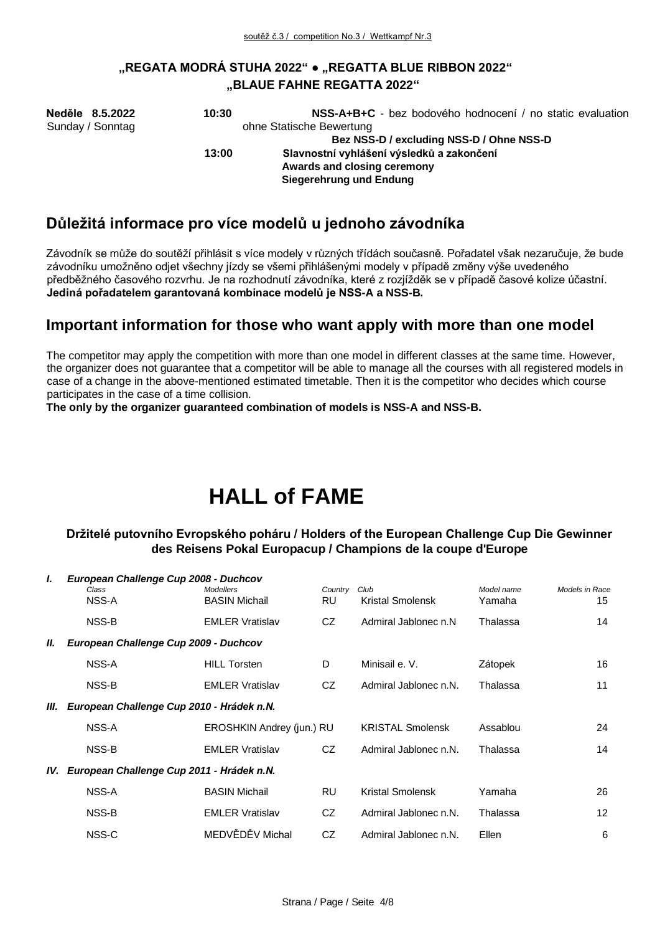## **"REGATA MODRÁ STUHA 2022" ● "REGATTA BLUE RIBBON 2022" "BLAUE FAHNE REGATTA 2022"**

| Neděle 8.5.2022  | 10:30 | NSS-A+B+C - bez bodového hodnocení / no static evaluation |
|------------------|-------|-----------------------------------------------------------|
| Sunday / Sonntag |       | ohne Statische Bewertung                                  |
|                  |       | Bez NSS-D / excluding NSS-D / Ohne NSS-D                  |
|                  | 13:00 | Slavnostní vyhlášení výsledků a zakončení                 |
|                  |       | Awards and closing ceremony                               |
|                  |       | Siegerehrung und Endung                                   |

## **Důležitá informace pro více modelů u jednoho závodníka**

Závodník se může do soutěží přihlásit s více modely v různých třídách současně. Pořadatel však nezaručuje, že bude závodníku umožněno odjet všechny jízdy se všemi přihlášenými modely v případě změny výše uvedeného předběžného časového rozvrhu. Je na rozhodnutí závodníka, které z rozjížděk se v případě časové kolize účastní. **Jediná pořadatelem garantovaná kombinace modelů je NSS-A a NSS-B.** 

## **Important information for those who want apply with more than one model**

The competitor may apply the competition with more than one model in different classes at the same time. However, the organizer does not guarantee that a competitor will be able to manage all the courses with all registered models in case of a change in the above-mentioned estimated timetable. Then it is the competitor who decides which course participates in the case of a time collision.

**The only by the organizer guaranteed combination of models is NSS-A and NSS-B.** 

# **HALL of FAME**

## **Držitelé putovního Evropského poháru / Holders of the European Challenge Cup Die Gewinner des Reisens Pokal Europacup / Champions de la coupe d'Europe**

| L   | European Challenge Cup 2008 - Duchcov     |                                          |                |                          |                      |                      |
|-----|-------------------------------------------|------------------------------------------|----------------|--------------------------|----------------------|----------------------|
|     | Class<br>NSS-A                            | <b>Modellers</b><br><b>BASIN Michail</b> | Country<br>RU. | Club<br>Kristal Smolensk | Model name<br>Yamaha | Models in Race<br>15 |
|     |                                           |                                          |                |                          |                      |                      |
|     | NSS-B                                     | <b>EMLER Vratislav</b>                   | CZ             | Admiral Jablonec n.N.    | Thalassa             | 14                   |
| Ш.  | European Challenge Cup 2009 - Duchcov     |                                          |                |                          |                      |                      |
|     | NSS-A                                     | <b>HILL Torsten</b>                      | D              | Minisail e. V.           | Zátopek              | 16                   |
|     | NSS-B                                     | <b>EMLER Vratislav</b>                   | CZ             | Admiral Jablonec n.N.    | Thalassa             | 11                   |
| Ш.  | European Challenge Cup 2010 - Hrádek n.N. |                                          |                |                          |                      |                      |
|     | NSS-A                                     | EROSHKIN Andrey (jun.) RU                |                | <b>KRISTAL Smolensk</b>  | Assablou             | 24                   |
|     | NSS-B                                     | <b>EMLER Vratislav</b>                   | CZ.            | Admiral Jablonec n.N.    | Thalassa             | 14                   |
| IV. | European Challenge Cup 2011 - Hrádek n.N. |                                          |                |                          |                      |                      |
|     | NSS-A                                     | <b>BASIN Michail</b>                     | <b>RU</b>      | Kristal Smolensk         | Yamaha               | 26                   |
|     | NSS-B                                     | <b>EMLER Vratislav</b>                   | CZ.            | Admiral Jablonec n.N.    | Thalassa             | $12 \overline{ }$    |
|     | NSS-C                                     | MEDVĚDĚV Michal                          | CZ.            | Admiral Jablonec n.N.    | Ellen                | 6                    |
|     |                                           |                                          |                |                          |                      |                      |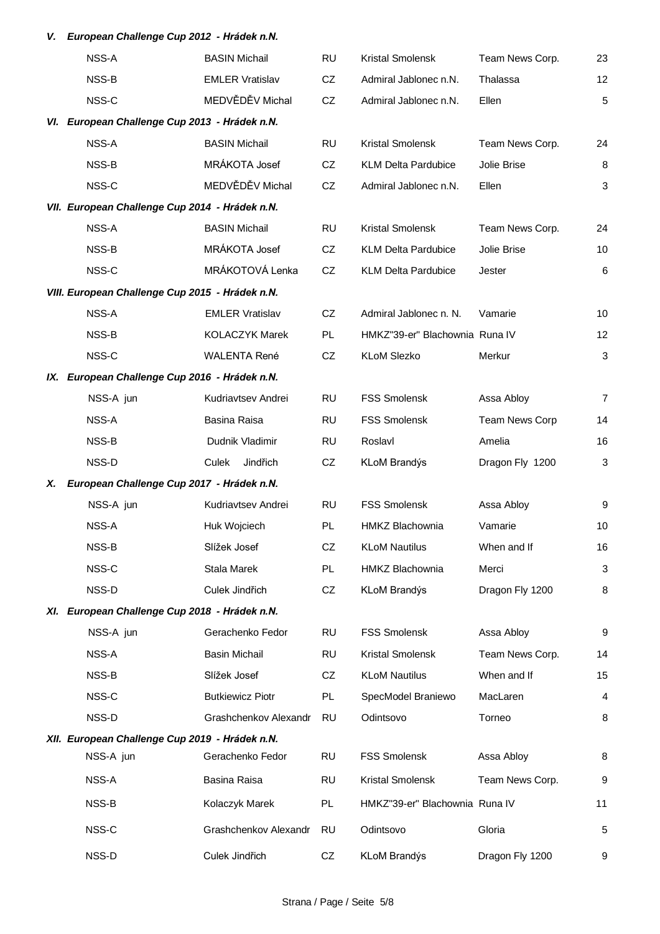## *V. European Challenge Cup 2012 - Hrádek n.N.*

|     | NSS-A                                           | <b>BASIN Michail</b>    | <b>RU</b> | Kristal Smolensk               | Team News Corp.       | 23             |
|-----|-------------------------------------------------|-------------------------|-----------|--------------------------------|-----------------------|----------------|
|     | NSS-B                                           | <b>EMLER Vratislav</b>  | CZ        | Admiral Jablonec n.N.          | Thalassa              | 12             |
|     | NSS-C                                           | MEDVĚDĚV Michal         | CZ        | Admiral Jablonec n.N.          | Ellen                 | 5              |
|     | VI. European Challenge Cup 2013 - Hrádek n.N.   |                         |           |                                |                       |                |
|     | NSS-A                                           | <b>BASIN Michail</b>    | <b>RU</b> | <b>Kristal Smolensk</b>        | Team News Corp.       | 24             |
|     | NSS-B                                           | MRÁKOTA Josef           | CZ        | <b>KLM Delta Pardubice</b>     | Jolie Brise           | 8              |
|     | NSS-C                                           | MEDVĚDĚV Michal         | CZ        | Admiral Jablonec n.N.          | Ellen                 | $\mathbf{3}$   |
|     | VII. European Challenge Cup 2014 - Hrádek n.N.  |                         |           |                                |                       |                |
|     | NSS-A                                           | <b>BASIN Michail</b>    | RU        | Kristal Smolensk               | Team News Corp.       | 24             |
|     | NSS-B                                           | MRÁKOTA Josef           | CZ        | <b>KLM Delta Pardubice</b>     | Jolie Brise           | 10             |
|     | NSS-C                                           | MRÁKOTOVÁ Lenka         | CZ        | <b>KLM Delta Pardubice</b>     | Jester                | $\,6$          |
|     | VIII. European Challenge Cup 2015 - Hrádek n.N. |                         |           |                                |                       |                |
|     | NSS-A                                           | <b>EMLER Vratislav</b>  | CZ        | Admiral Jablonec n. N.         | Vamarie               | 10             |
|     | NSS-B                                           | <b>KOLACZYK Marek</b>   | PL.       | HMKZ"39-er" Blachownia Runa IV |                       | 12             |
|     | NSS-C                                           | <b>WALENTA René</b>     | CZ        | <b>KLoM Slezko</b>             | Merkur                | $\mathbf{3}$   |
|     | IX. European Challenge Cup 2016 - Hrádek n.N.   |                         |           |                                |                       |                |
|     | NSS-A jun                                       | Kudriavtsev Andrei      | <b>RU</b> | <b>FSS Smolensk</b>            | Assa Abloy            | $\overline{7}$ |
|     | NSS-A                                           | Basina Raisa            | <b>RU</b> | <b>FSS Smolensk</b>            | <b>Team News Corp</b> | 14             |
|     | NSS-B                                           | Dudnik Vladimir         | RU        | Roslavl                        | Amelia                | 16             |
|     | NSS-D                                           | Culek<br>Jindřich       | CZ        | KLoM Brandýs                   | Dragon Fly 1200       | $\mathbf{3}$   |
| Х.  | European Challenge Cup 2017 - Hrádek n.N.       |                         |           |                                |                       |                |
|     | NSS-A jun                                       | Kudriavtsev Andrei      | <b>RU</b> | <b>FSS Smolensk</b>            | Assa Abloy            | 9              |
|     | NSS-A                                           | Huk Wojciech            | PL.       | <b>HMKZ Blachownia</b>         | Vamarie               | 10             |
|     | NSS-B                                           | Slížek Josef            | CZ        | <b>KLoM Nautilus</b>           | When and If           | 16             |
|     | NSS-C                                           | Stala Marek             | <b>PL</b> | <b>HMKZ Blachownia</b>         | Merci                 | 3              |
|     | NSS-D                                           | Culek Jindřich          | CZ        | KLoM Brandýs                   | Dragon Fly 1200       | 8              |
| XI. | European Challenge Cup 2018 - Hrádek n.N.       |                         |           |                                |                       |                |
|     | NSS-A jun                                       | Gerachenko Fedor        | <b>RU</b> | <b>FSS Smolensk</b>            | Assa Abloy            | 9              |
|     | NSS-A                                           | <b>Basin Michail</b>    | <b>RU</b> | Kristal Smolensk               | Team News Corp.       | 14             |
|     | NSS-B                                           | Slížek Josef            | CZ        | <b>KLoM Nautilus</b>           | When and If           | 15             |
|     | NSS-C                                           | <b>Butkiewicz Piotr</b> | PL        | SpecModel Braniewo             | MacLaren              | 4              |
|     | NSS-D                                           | Grashchenkov Alexandr   | <b>RU</b> | Odintsovo                      | Torneo                | 8              |
|     | XII. European Challenge Cup 2019 - Hrádek n.N.  |                         |           |                                |                       |                |
|     | NSS-A jun                                       | Gerachenko Fedor        | <b>RU</b> | <b>FSS Smolensk</b>            | Assa Abloy            | 8              |
|     | NSS-A                                           | Basina Raisa            | <b>RU</b> | Kristal Smolensk               | Team News Corp.       | 9              |
|     | NSS-B                                           | Kolaczyk Marek          | PL.       | HMKZ"39-er" Blachownia Runa IV |                       | 11             |
|     | NSS-C                                           | Grashchenkov Alexandr   | <b>RU</b> | Odintsovo                      | Gloria                | 5              |
|     | NSS-D                                           | Culek Jindřich          | CZ        | <b>KLoM Brandýs</b>            | Dragon Fly 1200       | 9              |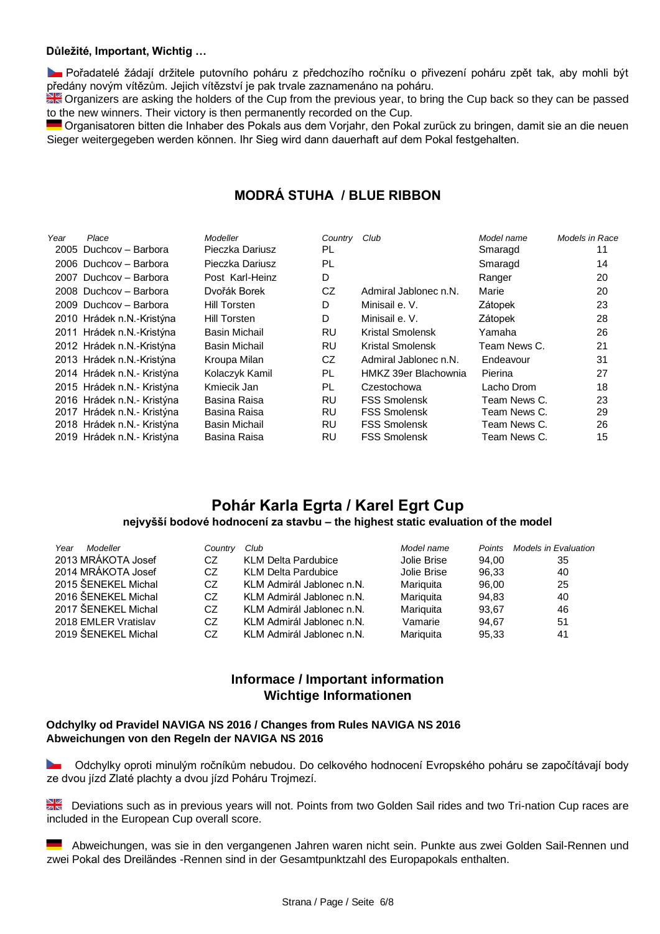### **Důležité, Important, Wichtig …**

**Dořadatelé žádají držitele putovního poháru z předchozího ročníku o přivezení poháru zpět tak, aby mohli být** předány novým vítězům. Jejich vítězství je pak trvale zaznamenáno na poháru.

Organizers are asking the holders of the Cup from the previous year, to bring the Cup back so they can be passed to the new winners. Their victory is then permanently recorded on the Cup.

Organisatoren bitten die Inhaber des Pokals aus dem Vorjahr, den Pokal zurück zu bringen, damit sie an die neuen Sieger weitergegeben werden können. Ihr Sieg wird dann dauerhaft auf dem Pokal festgehalten.

## **MODRÁ STUHA / BLUE RIBBON**

| Year | Place                      | Modeller             | Country | Club                    | Model name   | Models in Race |
|------|----------------------------|----------------------|---------|-------------------------|--------------|----------------|
|      | 2005 Duchcov - Barbora     | Pieczka Dariusz      | PL      |                         | Smaragd      | 11             |
|      | 2006 Duchcov - Barbora     | Pieczka Dariusz      | PL      |                         | Smaragd      | 14             |
|      | 2007 Duchcov - Barbora     | Post Karl-Heinz      | D       |                         | Ranger       | 20             |
|      | 2008 Duchcov - Barbora     | Dvořák Borek         | CZ.     | Admiral Jablonec n.N.   | Marie        | 20             |
|      | 2009 Duchcov - Barbora     | Hill Torsten         | D       | Minisail e. V.          | Zátopek      | 23             |
|      | 2010 Hrádek n.N.-Kristýna  | Hill Torsten         | D       | Minisail e. V.          | Zátopek      | 28             |
|      | 2011 Hrádek n.N.-Kristýna  | <b>Basin Michail</b> | RU      | <b>Kristal Smolensk</b> | Yamaha       | 26             |
|      | 2012 Hrádek n.N.-Kristýna  | <b>Basin Michail</b> | RU      | Kristal Smolensk        | Team News C. | 21             |
|      | 2013 Hrádek n.N.-Kristýna  | Kroupa Milan         | CZ      | Admiral Jablonec n.N.   | Endeavour    | 31             |
|      | 2014 Hrádek n.N.- Kristýna | Kolaczyk Kamil       | PL      | HMKZ 39er Blachownia    | Pierina      | 27             |
|      | 2015 Hrádek n.N.- Kristýna | Kmiecik Jan          | PL      | Czestochowa             | Lacho Drom   | 18             |
|      | 2016 Hrádek n.N.- Kristýna | Basina Raisa         | RU      | <b>FSS Smolensk</b>     | Team News C. | 23             |
|      | 2017 Hrádek n.N.- Kristýna | Basina Raisa         | RU      | <b>FSS Smolensk</b>     | Team News C. | 29             |
|      | 2018 Hrádek n.N.- Kristýna | <b>Basin Michail</b> | RU      | <b>FSS Smolensk</b>     | Team News C. | 26             |
|      | 2019 Hrádek n.N.- Kristýna | Basina Raisa         | RU      | <b>FSS Smolensk</b>     | Team News C. | 15             |

## **Pohár Karla Egrta / Karel Egrt Cup nejvyšší bodové hodnocení za stavbu – the highest static evaluation of the model**

| Year<br>Modeller<br>2013 MRÁKOTA Josef<br>2014 MRÁKOTA Josef<br>2015 ŠENEKEL Michal<br>2016 ŠENEKEL Michal<br>2017 ŠENEKEL Michal<br>2018 EMLER Vratislav | Country<br>CZ<br>CZ.<br>CZ.<br>CZ<br>CZ<br>CZ | Club<br><b>KLM Delta Pardubice</b><br><b>KLM Delta Pardubice</b><br>KLM Admirál Jablonec n.N.<br>KLM Admirál Jablonec n.N.<br>KLM Admirál Jablonec n.N.<br>KLM Admirál Jablonec n.N. | Model name<br>Jolie Brise<br>Jolie Brise<br>Mariquita<br>Mariquita<br>Mariquita<br>Vamarie | Points<br>94.00<br>96.33<br>96.00<br>94.83<br>93.67<br>94.67 | <b>Models in Evaluation</b><br>35<br>40<br>25<br>40<br>46<br>51 |
|-----------------------------------------------------------------------------------------------------------------------------------------------------------|-----------------------------------------------|--------------------------------------------------------------------------------------------------------------------------------------------------------------------------------------|--------------------------------------------------------------------------------------------|--------------------------------------------------------------|-----------------------------------------------------------------|
| 2019 ŠENEKEL Michal                                                                                                                                       | CZ                                            | KLM Admirál Jablonec n.N.                                                                                                                                                            | Mariguita                                                                                  | 95.33                                                        | 41                                                              |

## **Informace / Important information Wichtige Informationen**

#### **Odchylky od Pravidel NAVIGA NS 2016 / Changes from Rules NAVIGA NS 2016 Abweichungen von den Regeln der NAVIGA NS 2016**

 Odchylky oproti minulým ročníkům nebudou. Do celkového hodnocení Evropského poháru se započítávají body ze dvou jízd Zlaté plachty a dvou jízd Poháru Trojmezí.

Deviations such as in previous years will not. Points from two Golden Sail rides and two Tri-nation Cup races are included in the European Cup overall score.

 Abweichungen, was sie in den vergangenen Jahren waren nicht sein. Punkte aus zwei Golden Sail-Rennen und zwei Pokal des Dreiländes -Rennen sind in der Gesamtpunktzahl des Europapokals enthalten.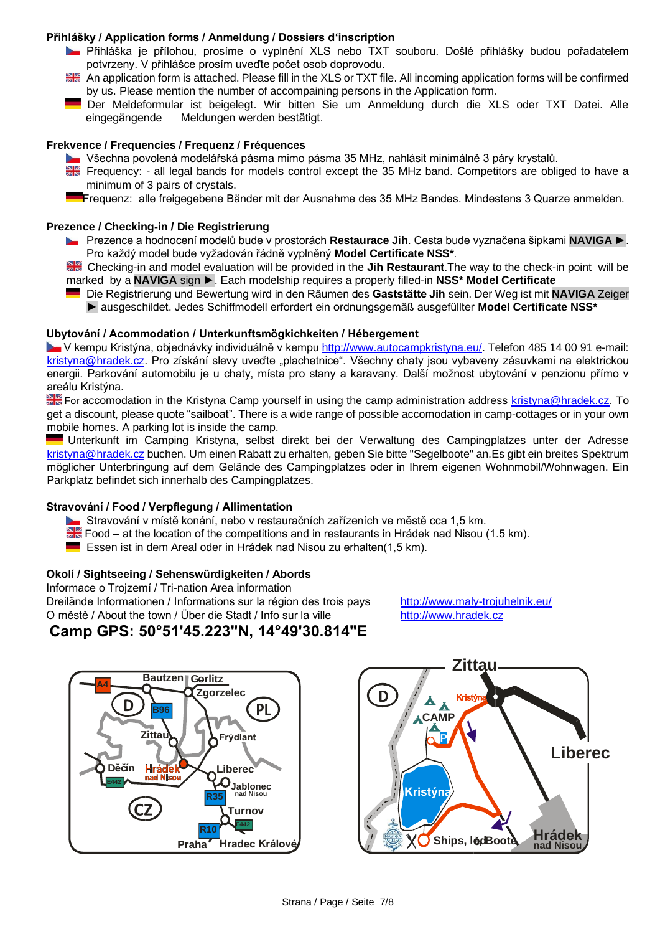## **Přihlášky / Application forms / Anmeldung / Dossiers d'inscription**

- **L** Přihláška je přílohou, prosíme o vyplnění XLS nebo TXT souboru. Došlé přihlášky budou pořadatelem potvrzeny. V přihlášce prosím uveďte počet osob doprovodu.
- An application form is attached. Please fill in the XLS or TXT file. All incoming application forms will be confirmed by us. Please mention the number of accompaining persons in the Application form.
- Der Meldeformular ist beigelegt. Wir bitten Sie um Anmeldung durch die XLS oder TXT Datei. Alle eingegängende Meldungen werden bestätigt.

### **Frekvence / Frequencies / Frequenz / Fréquences**

- Všechna povolená modelářská pásma mimo pásma 35 MHz, nahlásit minimálně 3 páry krystalů.
- Frequency: all legal bands for models control except the 35 MHz band. Competitors are obliged to have a minimum of 3 pairs of crystals.
- Frequenz: alle freigegebene Bänder mit der Ausnahme des 35 MHz Bandes. Mindestens 3 Quarze anmelden.

#### **Prezence / Checking-in / Die Registrierung**

- Prezence a hodnocení modelů bude v prostorách **Restaurace Jih**. Cesta bude vyznačena šipkami **NAVIGA** ►. Pro každý model bude vyžadován řádně vyplněný **Model Certificate NSS\***.
- Checking-in and model evaluation will be provided in the **Jih Restaurant**.The way to the check-in point will be marked by a **NAVIGA** sign ►. Each modelship requires a properly filled-in **NSS\* Model Certificate**
	- Die Registrierung und Bewertung wird in den Räumen des **Gaststätte Jih** sein. Der Weg ist mit **NAVIGA** Zeiger ► ausgeschildet. Jedes Schiffmodell erfordert ein ordnungsgemäß ausgefüllter **Model Certificate NSS\***

### **Ubytování / Acommodation / Unterkunftsmögkichkeiten / Hébergement**

V kempu Kristýna, objednávky individuálně v kempu http://www.autocampkristyna.eu/. Telefon 485 14 00 91 e-mail: kristyna@hradek.cz. Pro získání slevy uveďte "plachetnice". Všechny chaty jsou vybaveny zásuvkami na elektrickou energii. Parkování automobilu je u chaty, místa pro stany a karavany. Další možnost ubytování v penzionu přímo v areálu Kristýna.

**EX** For accomodation in the Kristyna Camp yourself in using the camp administration address kristyna@hradek.cz. To get a discount, please quote "sailboat". There is a wide range of possible accomodation in camp-cottages or in your own mobile homes. A parking lot is inside the camp.

Unterkunft im Camping Kristyna, selbst direkt bei der Verwaltung des Campingplatzes unter der Adresse kristyna@hradek.cz buchen. Um einen Rabatt zu erhalten, geben Sie bitte "Segelboote" an.Es gibt ein breites Spektrum möglicher Unterbringung auf dem Gelände des Campingplatzes oder in Ihrem eigenen Wohnmobil/Wohnwagen. Ein Parkplatz befindet sich innerhalb des Campingplatzes.

### **Stravování / Food / Verpflegung / Allimentation**

- Stravování v místě konání, nebo v restauračních zařízeních ve městě cca 1,5 km.
- $\geq$  Food at the location of the competitions and in restaurants in Hrádek nad Nisou (1.5 km).
- **Essen ist in dem Areal oder in Hrádek nad Nisou zu erhalten(1,5 km).**

### **Okolí / Sightseeing / Sehenswürdigkeiten / Abords**

Informace o Trojzemí / Tri-nation Area information Dreilände Informationen / Informations sur la région des trois pays http://www.maly-trojuhelnik.eu/ O městě / About the town / Über die Stadt / Info sur la ville http://www.hradek.cz

**Camp GPS: 50°51'45.223"N, 14°49'30.814"E**